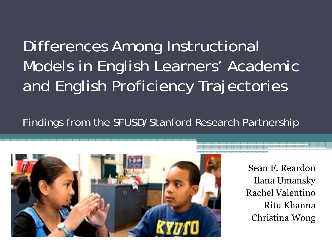# Differences Among Instructional Models in English Learners' Academic and English Proficiency Trajectories

### Findings from the SFUSD/Stanford Research Partnership



Sean F. ReardonIlana Umansky Rachel ValentinoRitu KhannaChristina Wong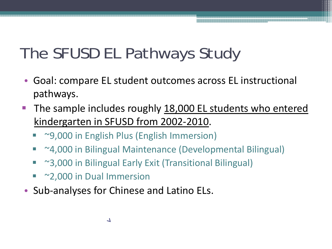# The SFUSD EL Pathways Study

- Goal: compare EL student outcomes across EL instructional pathways.
- The sample includes roughly 18,000 EL students who entered kindergarten in SFUSD from 2002-2010.
	- ~9,000 in English Plus (English Immersion)
	- Ξ ~4,000 in Bilingual Maintenance (Developmental Bilingual)
	- e. ~3,000 in Bilingual Early Exit (Transitional Bilingual)
	- ~2,000 in Dual Immersion
- Sub-analyses for Chinese and Latino ELs.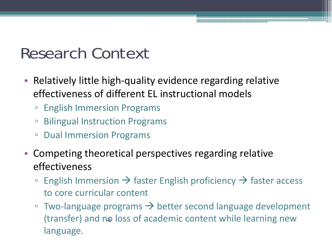### Research Context

- Relatively little high-quality evidence regarding relative effectiveness of different EL instructional models
	- $\Box$ English Immersion Programs
	- $\Box$ Bilingual Instruction Programs
	- $\Box$ Dual Immersion Programs
- Competing theoretical perspectives regarding relative effectiveness
	- $\Box$ **English Immersion**  $\rightarrow$  **faster English proficiency**  $\rightarrow$  **faster access** to core curricular content
	- $\Box$  $\overline{\phantom{a}}$  Two-language programs  $\rightarrow$  better second language development (transfer) and no loss of academic content while learning new language.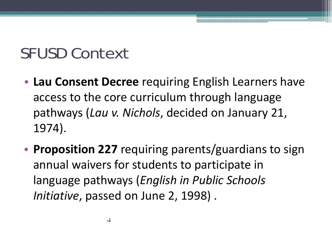### SFUSD Context

- **Lau Consent Decree** requiring English Learners have access to the core curriculum through language pathways (*Lau v. Nichols*, decided on January 21, 1974).
- • **Proposition 227** requiring parents/guardians to sign annual waivers for students to participate in language pathways (*English in Public Schools Initiative*, passed on June 2, 1998) .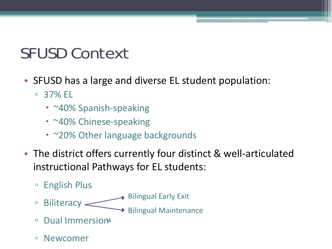### SFUSD Context

- SFUSD has a large and diverse EL student population:
	- $\Box$  37% EL
		- ~40% Spanish-speaking
		- ~40% Chinese-speaking
		- ~20% Other language backgrounds
- The district offers currently four distinct & well-articulated instructional Pathways for EL students:
	- $\Box$ English Plus
	- $\Box$ Biliteracy  $\sim$ Bilingual Early Exit  $\rightarrow$  Bilingual Maintenance
	- $\Box$ Dual Immersion
	- $\Box$ Newcomer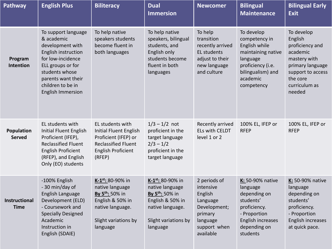| <b>Pathway</b>               | <b>English Plus</b>                                                                                                                                                                                             | <b>Biliteracy</b>                                                                                                                                    | <b>Dual</b><br><b>Immersion</b>                                                                                                                      | <b>Newcomer</b>                                                                                                      | <b>Bilingual</b><br><b>Maintenance</b>                                                                                                             | <b>Bilingual Early</b><br><b>Exit</b>                                                                                                                |
|------------------------------|-----------------------------------------------------------------------------------------------------------------------------------------------------------------------------------------------------------------|------------------------------------------------------------------------------------------------------------------------------------------------------|------------------------------------------------------------------------------------------------------------------------------------------------------|----------------------------------------------------------------------------------------------------------------------|----------------------------------------------------------------------------------------------------------------------------------------------------|------------------------------------------------------------------------------------------------------------------------------------------------------|
| Program<br>Intention         | To support language<br>& academic<br>development with<br>English instruction<br>for low-incidence<br>ELL groups or for<br>students whose<br>parents want their<br>children to be in<br><b>English Immersion</b> | To help native<br>speakers students<br>become fluent in<br>both languages                                                                            | To help native<br>speakers, bilingual<br>students, and<br>English only<br>students become<br>fluent in both<br>languages                             | To help<br>transition<br>recently arrived<br><b>EL students</b><br>adjust to their<br>new language<br>and culture    | To develop<br>competency in<br>English while<br>maintaining native<br>language<br>proficiency (i.e.<br>bilingualism) and<br>academic<br>competency | To develop<br>English<br>proficiency and<br>academic<br>mastery with<br>primary language<br>support to access<br>the core<br>curriculum as<br>needed |
| Population<br><b>Served</b>  | EL students with<br><b>Initial Fluent English</b><br>Proficient (IFEP),<br><b>Reclassified Fluent</b><br><b>English Proficient</b><br>(RFEP), and English<br>Only (EO) students                                 | EL students with<br><b>Initial Fluent English</b><br>Proficient (IFEP) or<br><b>Reclassified Fluent</b><br><b>English Proficient</b><br>(RFEP)       | $1/3 - 1/2$ not<br>proficient in the<br>target language<br>$2/3 - 1/2$<br>proficient in the<br>target language                                       | Recently arrived<br>ELs with CELDT<br>level 1 or 2                                                                   | 100% EL, IFEP or<br><b>RFEP</b>                                                                                                                    | 100% EL, IFEP or<br><b>RFEP</b>                                                                                                                      |
| Instructional<br><b>Time</b> | -100% English<br>- 30 min/day of<br>English Language<br>Development (ELD)<br>- Coursework and<br><b>Specially Designed</b><br>Academic<br>Instruction in<br>English (SDAIE)                                     | $K-1^{st}$ : 80-90% in<br>native language<br>By 5 <sup>th</sup> : 50% in<br>English & 50% in<br>native language.<br>Slight variations by<br>language | $K-1^{st}$ : 80-90% in<br>native language<br>By 5 <sup>th</sup> : 50% in<br>English & 50% in<br>native language.<br>Slight variations by<br>language | 2 periods of<br>intensive<br>English<br>Language<br>Development;<br>primary<br>language<br>support when<br>available | K: 50-90% native<br>language<br>depending on<br>students'<br>proficiency.<br>- Proportion<br>English increases<br>depending on<br>students         | K: 50-90% native<br>language<br>depending on<br>students'<br>proficiency.<br>- Proportion<br>English increases<br>at quick pace.                     |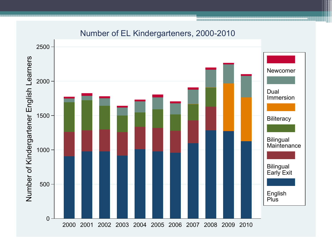

### Number of EL Kindergarteners, 2000-2010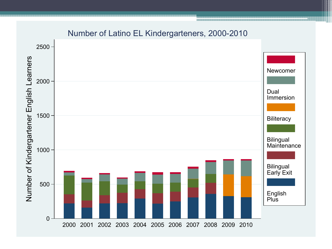

### Number of Latino EL Kindergarteners, 2000-2010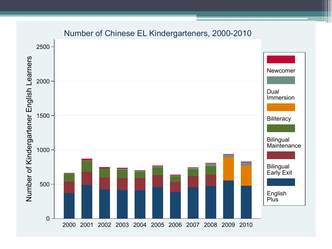

#### Number of Chinese EL Kindergarteners, 2000-2010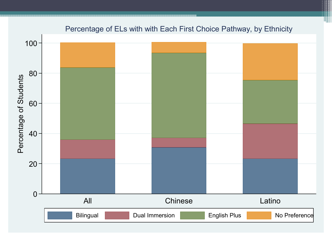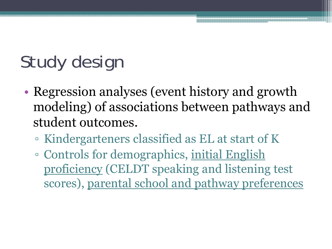# Study design

- • Regression analyses (event history and growth modeling) of associations between pathways and student outcomes.
	- Kindergarteners classified as EL at start of K
	- □ Controls for demographics, <u>initial English</u> proficiency (CELDT speaking and listening test scores), parental school and pathway preferences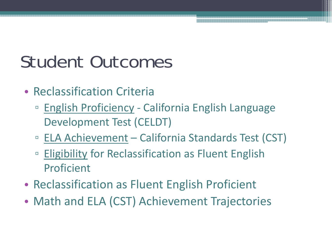# Student Outcomes

- Reclassification Criteria
	- □ English Proficiency California English Language Development Test (CELDT)
	- □ ELA Achievement California Standards Test (CST)
	- $\Box$  Eligibility for Reclassification as Fluent English Proficient
- Reclassification as Fluent English Proficient
- Math and ELA (CST) Achievement Trajectories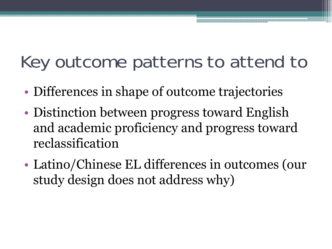# Key outcome patterns to attend to

- •Differences in shape of outcome trajectories
- • Distinction between progress toward English and academic proficiency and progress toward reclassification
- • Latino/Chinese EL differences in outcomes (our study design does not address why)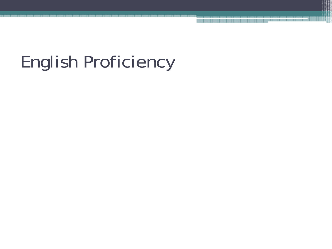# English Proficiency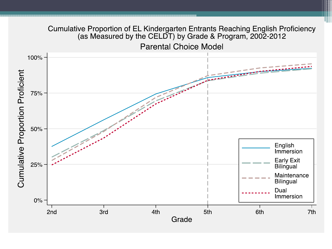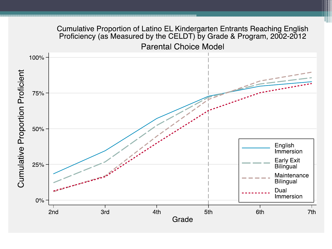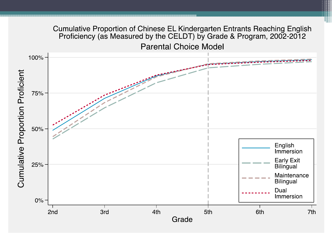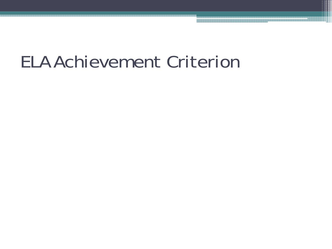# ELA Achievement Criterion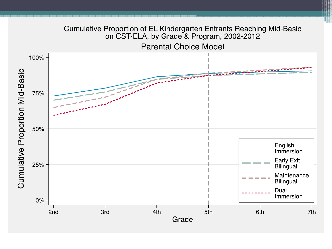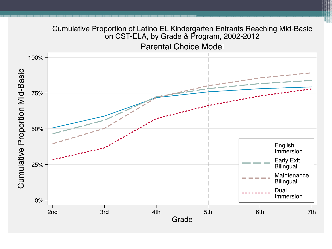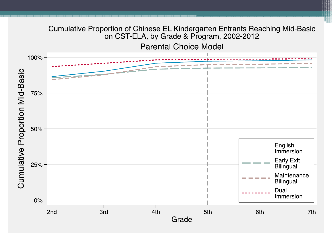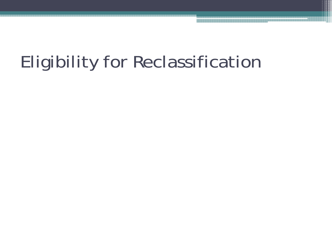# Eligibility for Reclassification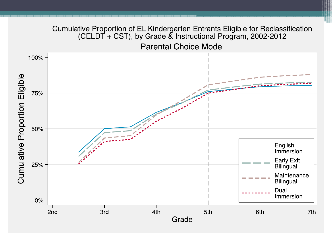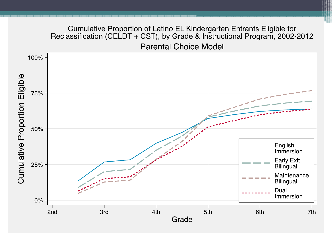#### Cumulative Proportion of Latino EL Kindergarten Entrants Eligible for Reclassification (CELDT + CST), by Grade & Instructional Program, 2002-2012 **Parental Choice Model**  $100\%$  -Cumulative Proportion Eligible 75% -50% -English Immersion **Early Exit** 25% Bilingual Maintenance **Bilingual** Dual Immersion  $0\%$ 2nd **3rd** 4th 5th 6th 7th Grade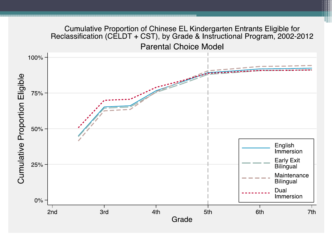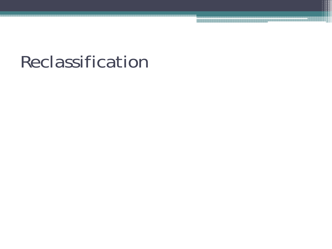# Reclassification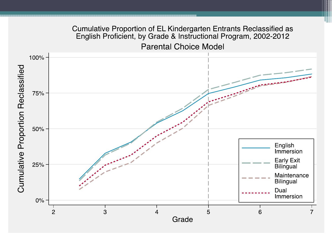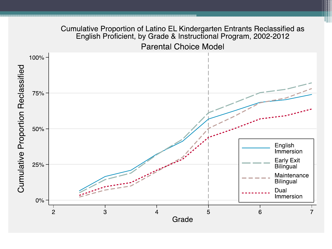#### Cumulative Proportion of Latino EL Kindergarten Entrants Reclassified as English Proficient, by Grade & Instructional Program, 2002-2012

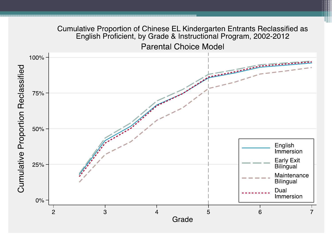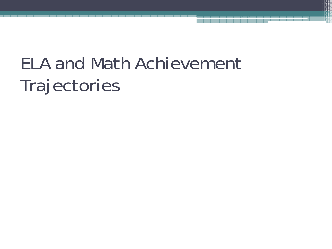# ELA and Math Achievement **Trajectories**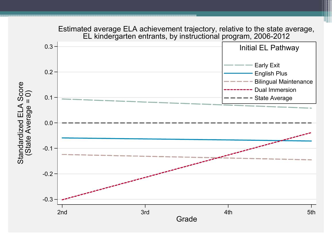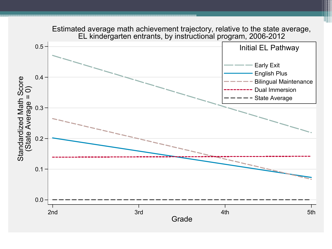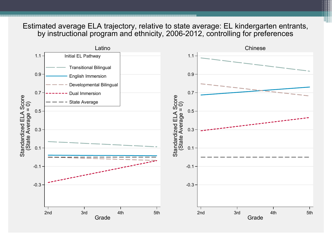#### Estimated average ELA trajectory, relative to state average: EL kindergarten entrants, by instructional program and ethnicity, 2006-2012, controlling for preferences

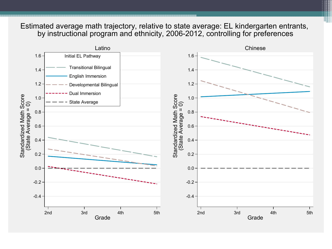#### Estimated average math trajectory, relative to state average: EL kindergarten entrants, by instructional program and ethnicity, 2006-2012, controlling for preferences

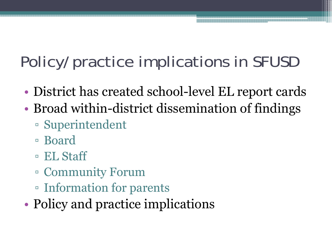# Policy/practice implications in SFUSD

- •District has created school-level EL report cards
- • Broad within-district dissemination of findings
	- Superintendent
	- Board
	- EL Staff
	- Community Forum
	- Information for parents
- •Policy and practice implications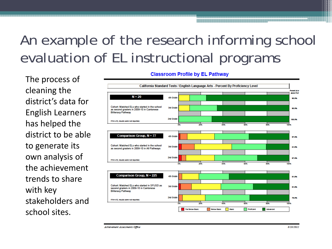### An example of the research informing school evaluation of EL instructional programs

The process of cleaning the district's data for English Learners has helped the district to be able to generate its own analysis of the achievement trends to share with key stakeholders and school sites.

#### **Classroom Profile by EL Pathway**



Achievement Assessments Office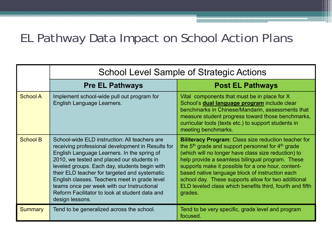### EL Pathway Data Impact on School Action Plans

|                 |                                                                                                                                                                                                                                                                                                                                                                                                                                                                       | <b>School Level Sample of Strategic Actions</b>                                                                                                                                                                                                                                                                                                                                                                                                                        |  |  |
|-----------------|-----------------------------------------------------------------------------------------------------------------------------------------------------------------------------------------------------------------------------------------------------------------------------------------------------------------------------------------------------------------------------------------------------------------------------------------------------------------------|------------------------------------------------------------------------------------------------------------------------------------------------------------------------------------------------------------------------------------------------------------------------------------------------------------------------------------------------------------------------------------------------------------------------------------------------------------------------|--|--|
|                 | <b>Pre EL Pathways</b>                                                                                                                                                                                                                                                                                                                                                                                                                                                | <b>Post EL Pathways</b>                                                                                                                                                                                                                                                                                                                                                                                                                                                |  |  |
| <b>School A</b> | Implement school-wide pull out program for<br>English Language Learners.                                                                                                                                                                                                                                                                                                                                                                                              | Vital components that must be in place for X<br>School's <b>dual language program</b> include clear<br>benchmarks in Chinese/Mandarin, assessments that<br>measure student progress toward those benchmarks,<br>curricular tools (texts etc.) to support students in<br>meeting benchmarks.                                                                                                                                                                            |  |  |
| <b>School B</b> | School-wide ELD instruction: All teachers are<br>receiving professional development in Results for<br>English Language Learners. In the spring of<br>2010, we tested and placed our students in<br>leveled groups. Each day, students begin with<br>their ELD teacher for targeted and systematic<br>English classes. Teachers meet in grade level<br>teams once per week with our Instructional<br>Reform Facilitator to look at student data and<br>design lessons. | <b>Biliteracy Program:</b> Class size reduction teacher for<br>the $5th$ grade and support personnel for $4th$ grade<br>(which will no longer have class size reduction) to<br>help provide a seamless bilingual program. These<br>supports make it possible for a one hour, content-<br>based native language block of instruction each<br>school day. These supports allow for two additional<br>ELD leveled class which benefits third, fourth and fifth<br>grades. |  |  |
| <b>Summary</b>  | Tend to be generalized across the school.                                                                                                                                                                                                                                                                                                                                                                                                                             | Tend to be very specific, grade level and program<br>focused.                                                                                                                                                                                                                                                                                                                                                                                                          |  |  |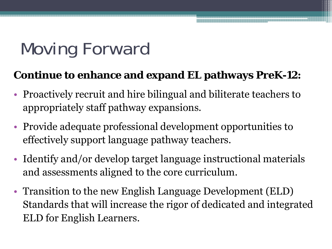# Moving Forward

### **Continue to enhance and expand EL pathways PreK-12:**

- Proactively recruit and hire bilingual and biliterate teachers to appropriately staff pathway expansions.
- Provide adequate professional development opportunities to effectively support language pathway teachers.
- Identify and/or develop target language instructional materials and assessments aligned to the core curriculum.
- Transition to the new English Language Development (ELD) Standards that will increase the rigor of dedicated and integrated ELD for English Learners.